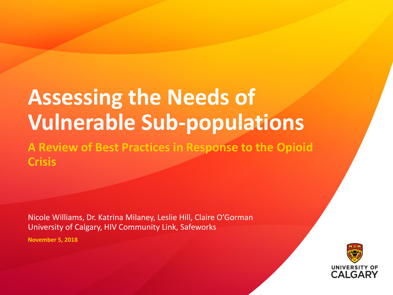# **Assessing the Needs of Vulnerable Sub-populations**

**A Review of Best Practices in Response to the Opioid Crisis** 

Nicole Williams, Dr. Katrina Milaney, Leslie Hill, Claire O'Gorman University of Calgary, HIV Community Link, Safeworks

**November 5, 2018**

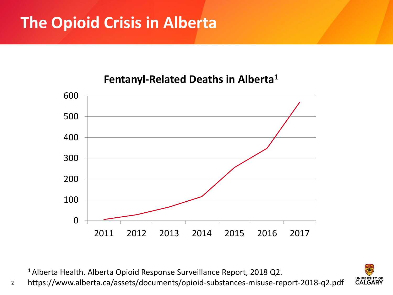### **The Opioid Crisis in Alberta**

#### **Fentanyl-Related Deaths in Alberta1**



Alberta Health. Alberta Opioid Response Surveillance Report, 2018 Q2.

 https://www.alberta.ca/assets/documents/opioid-substances-misuse-report-2018-q2.pdf

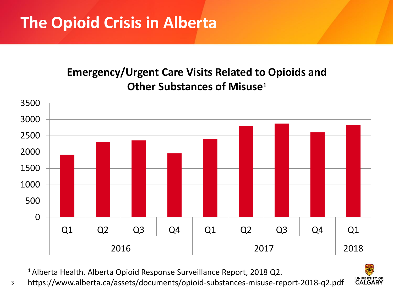#### **Emergency/Urgent Care Visits Related to Opioids and Other Substances of Misuse1**



Alberta Health. Alberta Opioid Response Surveillance Report, 2018 Q2.

 https://www.alberta.ca/assets/documents/opioid-substances-misuse-report-2018-q2.pdf

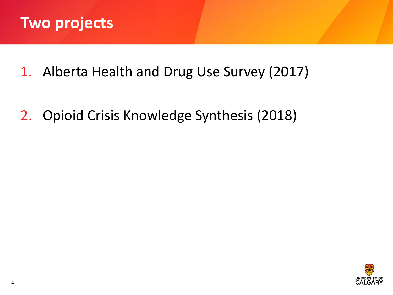

- 1. Alberta Health and Drug Use Survey (2017)
- 2. Opioid Crisis Knowledge Synthesis (2018)

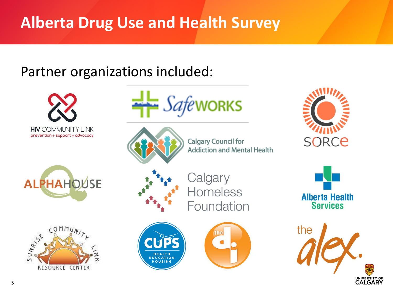### **Alberta Drug Use and Health Survey**

### Partner organizations included:







**Calgary Council for Addiction and Mental Health** 









Calgary Homeless Foundation







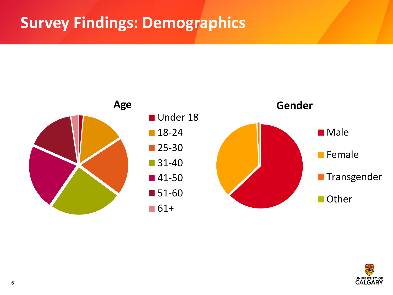

![](_page_5_Picture_2.jpeg)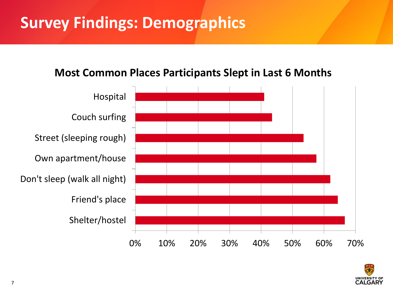#### **Most Common Places Participants Slept in Last 6 Months**

![](_page_6_Figure_2.jpeg)

![](_page_6_Picture_3.jpeg)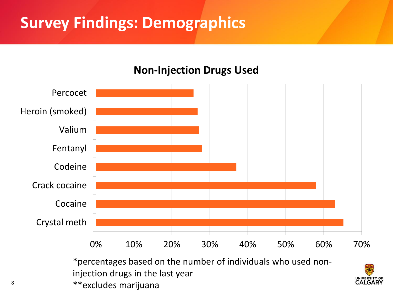![](_page_7_Figure_1.jpeg)

#### **Non-Injection Drugs Used**

\*percentages based on the number of individuals who used noninjection drugs in the last year \*\*excludes marijuana

![](_page_7_Picture_4.jpeg)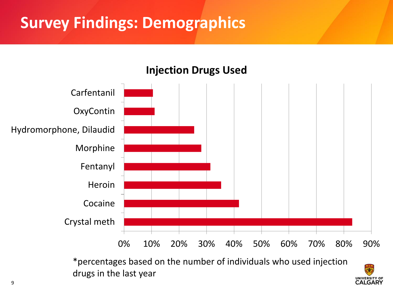![](_page_8_Figure_1.jpeg)

**Injection Drugs Used**

\*percentages based on the number of individuals who used injection drugs in the last year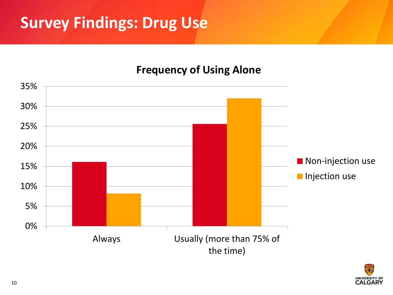### **Survey Findings: Drug Use**

#### **Frequency of Using Alone**

![](_page_9_Figure_2.jpeg)

![](_page_9_Picture_3.jpeg)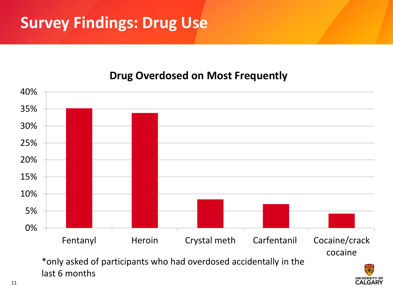### **Survey Findings: Drug Use**

#### **Drug Overdosed on Most Frequently**

![](_page_10_Figure_2.jpeg)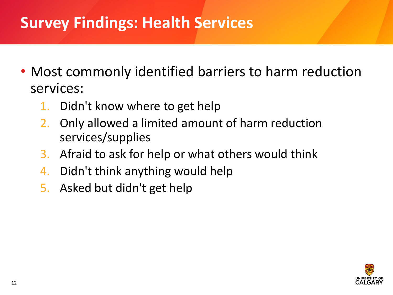### **Survey Findings: Health Services**

- Most commonly identified barriers to harm reduction services:
	- 1. Didn't know where to get help
	- 2. Only allowed a limited amount of harm reduction services/supplies
	- 3. Afraid to ask for help or what others would think
	- 4. Didn't think anything would help
	- 5. Asked but didn't get help

![](_page_11_Picture_7.jpeg)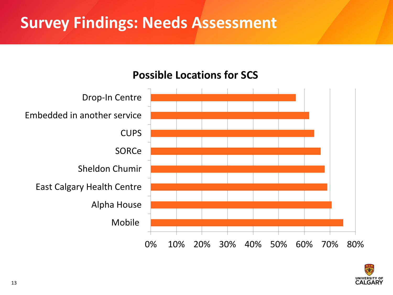### **Survey Findings: Needs Assessment**

## 0% 10% 20% 30% 40% 50% 60% 70% 80% Mobile Alpha House East Calgary Health Centre Sheldon Chumir **SORCe CUPS** Embedded in another service Drop-In Centre

![](_page_12_Picture_2.jpeg)

![](_page_12_Picture_3.jpeg)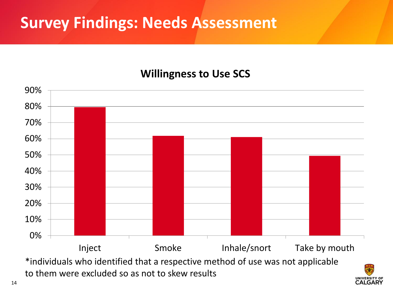### **Survey Findings: Needs Assessment**

#### **Willingness to Use SCS**

![](_page_13_Figure_2.jpeg)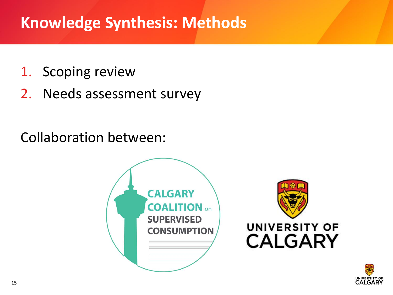### **Knowledge Synthesis: Methods**

- 1. Scoping review
- 2. Needs assessment survey

Collaboration between:

![](_page_14_Picture_4.jpeg)

![](_page_14_Picture_5.jpeg)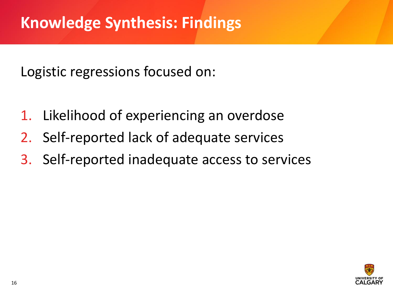Logistic regressions focused on:

- 1. Likelihood of experiencing an overdose
- 2. Self-reported lack of adequate services
- 3. Self-reported inadequate access to services

![](_page_15_Picture_5.jpeg)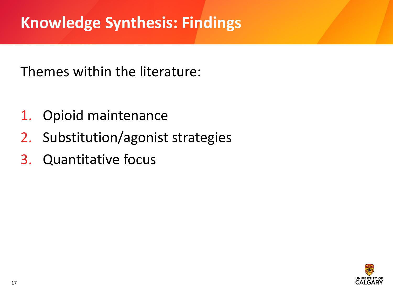### **Knowledge Synthesis: Findings**

Themes within the literature:

- 1. Opioid maintenance
- 2. Substitution/agonist strategies
- 3. Quantitative focus

![](_page_16_Picture_5.jpeg)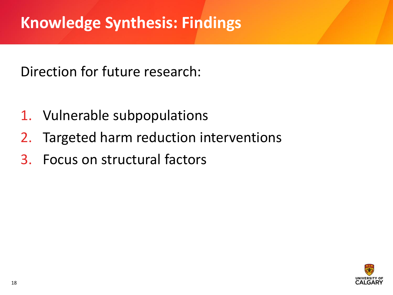Direction for future research:

- 1. Vulnerable subpopulations
- 2. Targeted harm reduction interventions
- 3. Focus on structural factors

![](_page_17_Picture_5.jpeg)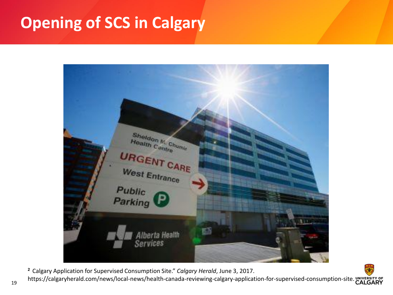### **Opening of SCS in Calgary**

![](_page_18_Picture_1.jpeg)

**<sup>2</sup>**Calgary Application for Supervised Consumption Site." *Calgary Herald*, June 3, 2017.

https://calgaryherald.com/news/local-news/health-canada-reviewing-calgary-application-for-supervised-consumption-site. CALGARY